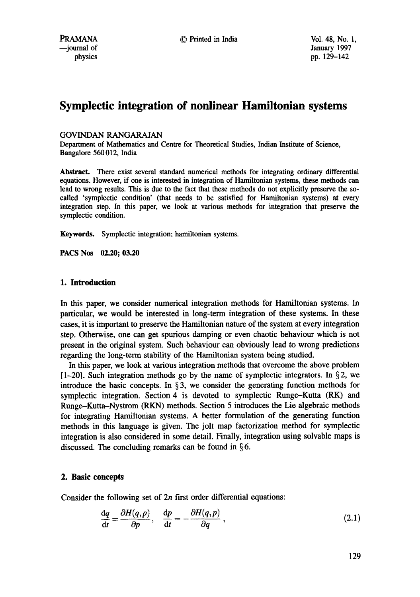# **Symplectic integration of nonlinear Hamiltonian systems**

### GOVINDAN RANGARAJAN

Department of Mathematics and Centre for Theoretical Studies, Indian Institute of Science, Bangalore 560012, India

**Abstract.** There exist several standard numerical methods for integrating ordinary differential equations. However, if one is interested in integration of Hamiltonian systems, these methods can lead to wrong results. This is due to the fact that these methods do not explicitly preserve the socalled 'symplectic condition' (that needs to be satisfied for Hamiltonian systems) at every integration step. In this paper, we look at various methods for integration that preserve the symplectic condition.

Keywords. Symplectic integration; hamiltonian systems.

**PACS Nos 02.20; 03.20** 

## 1. **Introduction**

In this paper, we consider numerical integration methods for Hamiltonian systems. In particular, we would be interested in long-term integration of these systems. In these cases, it is important to preserve the Hamiltonian nature of the system at every integration step. Otherwise, one can get spurious damping or even chaotic behaviour which is not present in the original system. Such behaviour can obviously lead to wrong predictions regarding the long-term stability of the Hamiltonian system being studied.

In this paper, we look at various integration methods that overcome the above problem  $[1-20]$ . Such integration methods go by the name of symplectic integrators. In §2, we introduce the basic concepts. In  $\S$ 3, we consider the generating function methods for symplectic integration. Section 4 is devoted to symplectic Runge-Kutta (RK) and Runge-Kutta-Nystrom (RKN) methods. Section 5 introduces the Lie algebraic methods for integrating Hamiltonian systems. A better formulation of the generating function methods in this language is given. The jolt map factorization method for symplectic integration is also considered in some detail. Finally, integration using solvable maps is discussed. The concluding remarks can be found in  $\S 6$ .

### **2. Basic concepts**

Consider the following set of  $2n$  first order differential equations:

$$
\frac{dq}{dt} = \frac{\partial H(q, p)}{\partial p}, \quad \frac{dp}{dt} = -\frac{\partial H(q, p)}{\partial q}, \tag{2.1}
$$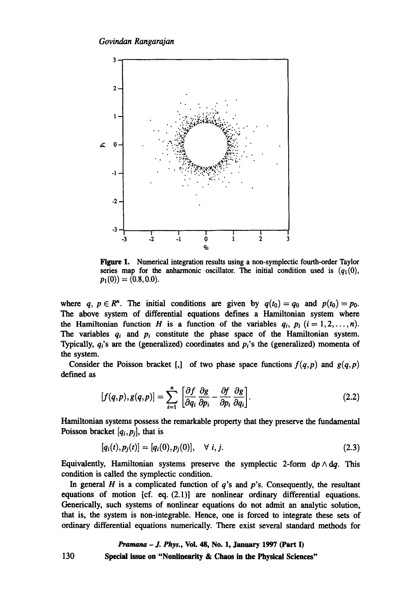

Figure 1. Numerical integration results using a non-symplectic fourth-order Taylor series map for the anharmonic oscillator. The initial condition used is  $(q_1(0),$  $p_1(0)$  = (0.8, 0.0).

where q,  $p \in \mathbb{R}^n$ . The initial conditions are given by  $q(t_0)=q_0$  and  $p(t_0)=p_0$ . The above system of differential equations defines a Hamiltonian system where the Hamiltonian function H is a function of the variables  $q_i$ ,  $p_i$  ( $i=1,2,\ldots,n$ ). The variables  $q_i$  and  $p_i$  constitute the phase space of the Hamiltonian system. Typically, *qi's are the* (generalized) coordinates and *p{s the* (generalized) momenta of the system.

Consider the Poisson bracket [,] of two phase space functions  $f(q,p)$  and  $g(q,p)$ defined as

$$
[f(q,p),g(q,p)] = \sum_{i=1}^{n} \left[ \frac{\partial f}{\partial q_i} \frac{\partial g}{\partial p_i} - \frac{\partial f}{\partial p_i} \frac{\partial g}{\partial q_i} \right].
$$
 (2.2)

Hamiltonian systems possess the remarkable property that they preserve the fundamental Poisson bracket *[qi,Pj],* that is

$$
[q_i(t), p_j(t)] = [q_i(0), p_j(0)], \quad \forall \ i, j. \tag{2.3}
$$

Equivalently, Hamiltonian systems preserve the symplectic 2-form  $dp \wedge dq$ . This condition is called the symplectic condition.

In general  $H$  is a complicated function of  $q$ 's and  $p$ 's. Consequently, the resultant equations of motion [cf. eq. (2.1)] are nonlinear ordinary differential equations. Generically, such systems of nonlinear equations do not admit an analytic solution, that is, the system is non-integrable. Hence, one is forced to integrate these sets of ordinary differential equations numerically. There exist several standard methods for

## *Pramana - J. Phys.,* Vol. 48, No. 1, January 1997 (Part I)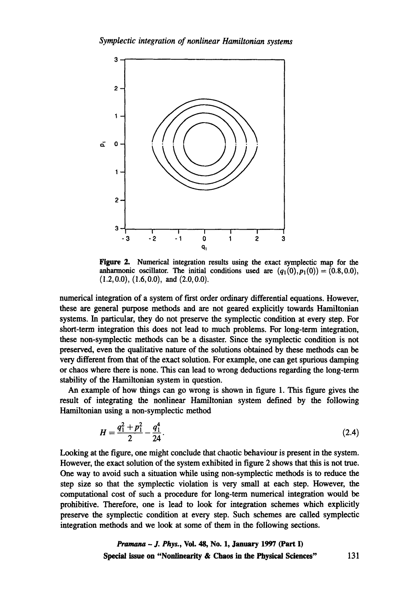

Figure 2. Numerical integration results using the exact symplectic map for the anharmonic oscillator. The initial conditions used are  $(q_1(0),p_1(0))=(0.8,0.0)$ , **(1.2,0.0), (1.6,0.0), and (2.0,0.0).** 

numerical integration of a system of first order ordinary differential equations. However, these are general purpose methods and are not geared explicitly towards Hamiltonian systems. In particular, they do not preserve the symplectic condition at every step. For short-term integration this does not lead to much problems. For long-term integration, these non-symplectic methods can be a disaster. Since the symplectic condition is not preserved, even the qualitative nature of the solutions obtained by these methods can be very different from that of the exact solution. For example, one can get spurious damping or chaos where there is none. This can lead to wrong deductions regarding the long-term stability of the Hamiltonian system in question.

An example of how things can go wrong is shown in figure 1. This figure gives the result of integrating the nonlinear Hamiltonian system defined by the following Hamiltonian using a non-symplectic method

$$
H = \frac{q_1^2 + p_1^2}{2} - \frac{q_1^4}{24}.
$$
 (2.4)

Looking at the figure, one might conclude that chaotic behaviour is present in the system. However, the exact solution of the system exhibited in figure 2 shows that this is not true. One way to avoid such a situation while using non-symplectic methods is to reduce the step size so that the symplectic violation is very small at each step. However, the computational cost of such a procedure for long-term numerical integration would be prohibitive. Therefore, one is lead to look for integration schemes which explicitly preserve the symplectic condition at every step. Such schemes are called symplectic integration methods and we look at some of them in the following sections.

*Pramana - J. Phys.,* Vol. 48, No. 1, January 1997 (Part I) Special issue on "Nonlinearity & **Chaos in the** Physical Sciences" 131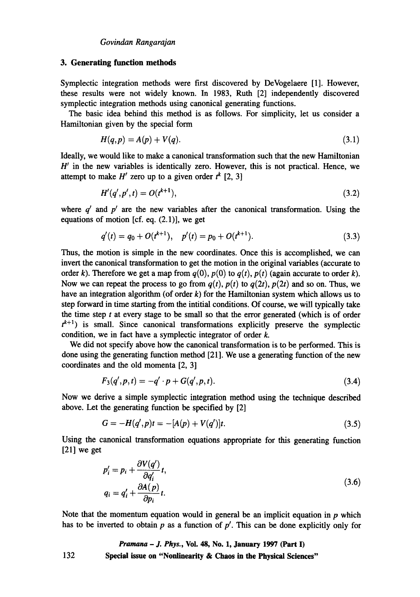#### **3. Generating function methods**

Symplectic integration methods were first discovered by DeVogelaere [1]. However, these results were not widely known. In 1983, Ruth [2] independently discovered symplectic integration methods using canonical generating functions.

The basic idea behind this method is as follows. For simplicity, let us consider a Hamiltonian given by the special form

$$
H(q,p) = A(p) + V(q). \tag{3.1}
$$

Ideally, we would like to make a canonical transformation such that the new Hamiltonian  $H'$  in the new variables is identically zero. However, this is not practical. Hence, we attempt to make *H'* zero up to a given order  $t^k$  [2, 3]

$$
H'(q',p',t) = O(t^{k+1}),
$$
\n(3.2)

where  $q'$  and  $p'$  are the new variables after the canonical transformation. Using the equations of motion [cf. eq.  $(2.1)$ ], we get

$$
q'(t) = q_0 + O(t^{k+1}), \quad p'(t) = p_0 + O(t^{k+1}).
$$
\n(3.3)

Thus, the motion is simple in the new coordinates. Once this is accomplished, we can invert the canonical transformation to get the motion in the original variables (accurate to order k). Therefore we get a map from  $q(0)$ ,  $p(0)$  to  $q(t)$ ,  $p(t)$  (again accurate to order k). Now we can repeat the process to go from  $q(t)$ ,  $p(t)$  to  $q(2t)$ ,  $p(2t)$  and so on. Thus, we have an integration algorithm (of order  $k$ ) for the Hamiltonian system which allows us to step forward in time starting from the intitial conditions. Of course, we will typically take the time step  $t$  at every stage to be small so that the error generated (which is of order  $t^{k+1}$ ) is small. Since canonical transformations explicitly preserve the symplectic condition, we in fact have a symplectic integrator of order  $k$ .

We did not specify above how the canonical transformation is to be performed. This is done using the generating function method [21 ]. We use a generating function of the new coordinates and the old momenta [2, 3]

$$
F_3(q', p, t) = -q' \cdot p + G(q', p, t). \tag{3.4}
$$

Now we derive a simple symplectic integration method using the technique described above. Let the generating function be specified by [2]

$$
G = -H(q',p)t = -[A(p) + V(q')]t.
$$
\n(3.5)

Using the canonical transformation equations appropriate for this generating function  $[21]$  we get

$$
p'_{i} = p_{i} + \frac{\partial V(q')}{\partial q'_{i}} t,
$$
  
\n
$$
q_{i} = q'_{i} + \frac{\partial A(p)}{\partial p_{i}} t.
$$
\n(3.6)

Note that the momentum equation would in general be an implicit equation in  $p$  which has to be inverted to obtain p as a function of  $p'$ . This can be done explicitly only for

*Pramana - J. Phys.,* Vol. 48, No. 1, January 1997 (Part I) 132 Special issue **on "Nonlinearity & Chaos in the Physical Sciences"**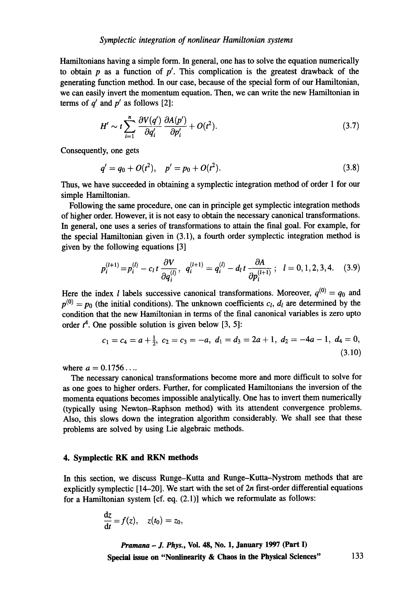Hamiltonians having a simple form. In general, one has to solve the equation numerically to obtain  $p$  as a function of  $p'$ . This complication is the greatest drawback of the generating function method. In our case, because of the special form of our Hamiltonian, we can easily invert the momentum equation. Then, we can write the new Hamiltonian in terms of  $q'$  and  $p'$  as follows [2]:

$$
H' \sim t \sum_{i=1}^{n} \frac{\partial V(q')}{\partial q'_i} \frac{\partial A(p')}{\partial p'_i} + O(t^2). \tag{3.7}
$$

Consequently, one gets

$$
q' = q_0 + O(t^2), \quad p' = p_0 + O(t^2). \tag{3.8}
$$

Thus, we have succeeded in obtaining a symplectic integration method of order 1 for our simple Hamiltonian.

Following the same procedure, one can in principle get symplectic integration methods of higher order. However, it is not easy to obtain the necessary canonical transformations. In general, one uses a series of transformations to attain the final goal. For example, for the special Hamiltonian given in (3.1), a fourth order symplectic integration method is given by the following equations [3]

$$
p_i^{(l+1)} = p_i^{(l)} - c_l t \frac{\partial V}{\partial q_i^{(l)}}, \quad q_i^{(l+1)} = q_i^{(l)} - d_l t \frac{\partial A}{\partial p_i^{(l+1)}}; \quad l = 0, 1, 2, 3, 4. \quad (3.9)
$$

Here the index *l* labels successive canonical transformations. Moreover,  $q^{(0)} = q_0$  and  $p^{(0)} = p_0$  (the initial conditions). The unknown coefficients  $c_l$ ,  $d_l$  are determined by the condition that the new Hamiltonian in terms of the final canonical variables is zero upto order  $t^4$ . One possible solution is given below [3, 5]:

$$
c_1 = c_4 = a + \frac{1}{2}, c_2 = c_3 = -a, d_1 = d_3 = 2a + 1, d_2 = -4a - 1, d_4 = 0,
$$
\n(3.10)

where  $a = 0.1756...$ 

The necessary canonical transformations become more and more difficult to solve for as one goes to higher orders. Further, for complicated Hamiltonians the inversion of the momenta equations becomes impossible analytically. One has to invert them numerically (typically using Newton-Raphson method) with its attendent convergence problems. Also, this slows down the integration algorithm considerably. We shall see that these problems are solved by using Lie algebraic methods.

#### **4. Symplectic RK and RKN methods**

In this section, we discuss Runge-Kutta and Runge-Kutta-Nystrom methods that are explicitly symplectic  $[14-20]$ . We start with the set of  $2n$  first-order differential equations for a Hamiltonian system [cf. eq. (2.1)] which we reformulate as follows:

$$
\frac{\mathrm{d}z}{\mathrm{d}t}=f(z),\quad z(t_0)=z_0,
$$

*Pramana - J. Phys.,* Vol. 48, No. 1, January 1997 (Part I) Special issue **on "Nonlinearity & Chaos in the Physical Sciences"** 133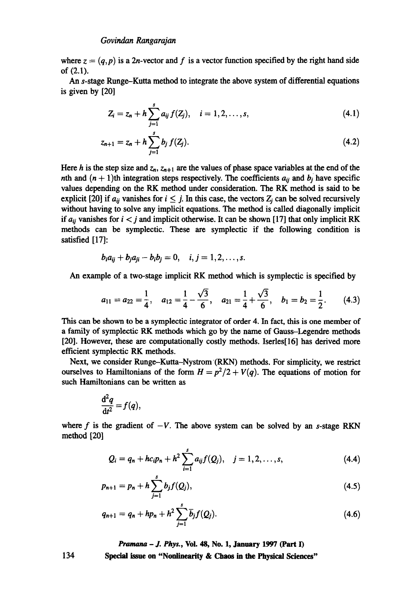where  $z = (q, p)$  is a 2n-vector and f is a vector function specified by the right hand side of (2.1).

An s-stage Runge-Kutta method to integrate the above system of differential equations is given by [20]

$$
Z_i = z_n + h \sum_{j=1}^s a_{ij} f(Z_j), \quad i = 1, 2, ..., s,
$$
 (4.1)

$$
z_{n+1} = z_n + h \sum_{j=1}^{s} b_j f(Z_j).
$$
 (4.2)

Here h is the step size and  $z_n$ ,  $z_{n+1}$  are the values of phase space variables at the end of the nth and  $(n + 1)$ th integration steps respectively. The coefficients  $a_{ij}$  and  $b_j$  have specific values depending on the RK method under consideration. The RK method is said to be explicit [20] if  $a_{ij}$  vanishes for  $i \leq j$ . In this case, the vectors  $Z_j$  can be solved recursively without having to solve any implicit equations. The method is called diagonally implicit if  $a_{ii}$  vanishes for  $i < j$  and implicit otherwise. It can be shown [17] that only implicit RK methods can be symplectic. These are symplectic if the following condition is satisfied [17]:

$$
b_i a_{ij} + b_j a_{ji} - b_i b_j = 0, \quad i, j = 1, 2, \ldots, s.
$$

An example of a two-stage implicit RK method which is symplectic is specified by

$$
a_{11} = a_{22} = \frac{1}{4}
$$
,  $a_{12} = \frac{1}{4} - \frac{\sqrt{3}}{6}$ ,  $a_{21} = \frac{1}{4} + \frac{\sqrt{3}}{6}$ ,  $b_1 = b_2 = \frac{1}{2}$ . (4.3)

This can be shown to be a symplectic integrator of order 4. In fact, this is one member of a family of symplectic RK methods which go by the name of Gauss-Legendre methods [20]. However, these are computationally costly methods. Iserles<sup>[16]</sup> has derived more efficient symplectic RK methods.

Next, we consider Runge-Kutta-Nystrom (RKN) methods. For simplicity, we restrict ourselves to Hamiltonians of the form  $H = p^2/2 + V(q)$ . The equations of motion for such Hamiltonians can be written as

$$
\frac{\mathrm{d}^2q}{\mathrm{d}t^2}=f(q),
$$

where f is the gradient of  $-V$ . The above system can be solved by an s-stage RKN method [20]

$$
Q_i = q_n + hc_i p_n + h^2 \sum_{i=1}^s a_{ij} f(Q_j), \quad j = 1, 2, ..., s,
$$
 (4.4)

$$
p_{n+1} = p_n + h \sum_{j=1}^{s} b_j f(Q_j), \qquad (4.5)
$$

$$
q_{n+1} = q_n + hp_n + h^2 \sum_{j=1}^s \overline{b}_j f(Q_j).
$$
 (4.6)

*Pramana - J. Phys.,* **Vol. 48, No. 1, January 1997 (Part I)** 

**Special issue on "Nonlinearity & Chaos in the Physical Sciences"** 

134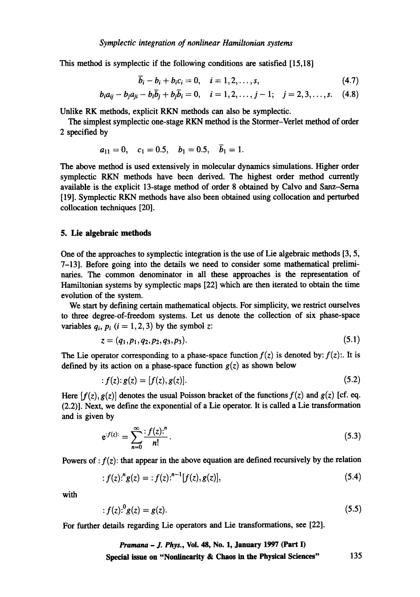This method is symplectic if the following conditions are satisfied [15,18]

$$
b_i - b_i + b_i c_i = 0, \quad i = 1, 2, \ldots, s,
$$
\n(4.7)

$$
b_i a_{ij} - b_j a_{ji} - b_i \overline{b}_j + b_j \overline{b}_i = 0, \quad i = 1, 2, ..., j - 1; \quad j = 2, 3, ..., s.
$$
 (4.8)

Unlike RK methods, explicit RKN methods can also be symplectic.

The simplest symplectic one-stage RKN method is the Stormer-Verlet method of order 2 specified by

$$
a_{11} = 0
$$
,  $c_1 = 0.5$ ,  $b_1 = 0.5$ ,  $b_1 = 1$ .

The above method is used extensively in molecular dynamics simulations. Higher order symplectic RKN methods have been derived. The highest order method currently available is the explicit 13-stage method of order 8 obtained by Calvo and Sanz-Sema [19]. Symplectic RKN methods have also been obtained using collocation and perturbed collocation techniques [20].

#### **5. Lie algebraic methods**

One of the approaches to symplectic integration is the use of Lie algebraic methods [3, 5, 7-13]. Before going into the details we need to consider some mathematical preliminaries. The common denominator in all these approaches is the representation of Hamiltonian systems by symplectic maps [22] which are then iterated to obtain the time evolution of the system.

We start by defining certain mathematical objects. For simplicity, we restrict ourselves to three degree-of-freedom systems. Let us denote the collection of six phase-space variables  $q_i$ ,  $p_i$  ( $i = 1, 2, 3$ ) by the symbol z:

$$
z = (q_1, p_1, q_2, p_2, q_3, p_3). \tag{5.1}
$$

The Lie operator corresponding to a phase-space function  $f(z)$  is denoted by:  $f(z)$ :. It is defined by its action on a phase-space function  $g(z)$  as shown below

$$
f(z): g(z) = [f(z), g(z)].
$$
\n(5.2)

Here  $[f(z), g(z)]$  denotes the usual Poisson bracket of the functions  $f(z)$  and  $g(z)$  [cf. eq. (2.2)]. Next, we define the exponential of a Lie operator. It is called a Lie transformation and is given by

$$
e^{f(z)} = \sum_{n=0}^{\infty} \frac{f(z)!}{n!}.
$$
 (5.3)

Powers of :  $f(z)$ : that appear in the above equation are defined recursively by the relation

$$
: f(z).^{n} g(z) = : f(z).^{n-1} [f(z), g(z)], \qquad (5.4)
$$

with

$$
f(z)^{0}g(z) = g(z). \tag{5.5}
$$

For further details regarding Lie operators and Lie transformations, see [22].

*Pramana - J. Phys.,* **Vol. 48, No. 1, January 1997 (Part I) Special issue on "Nonlinearity & Chaos in the Physical Sciences"** 135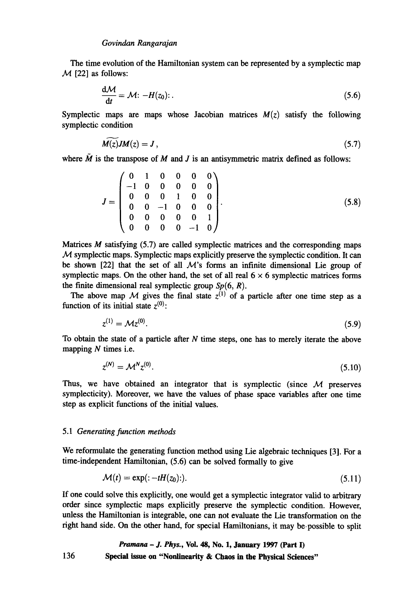## *Govindan Rangarajan*

The time evolution of the Hamiltonian system can be represented by a symplectic map  $M$  [22] as follows:

$$
\frac{d\mathcal{M}}{dt} = \mathcal{M} \colon -H(z_0) \colon \tag{5.6}
$$

Symplectic maps are maps whose Jacobian matrices  $M(z)$  satisfy the following symplectic condition

$$
M(z)JM(z)=J\,,\tag{5.7}
$$

where  $\tilde{M}$  is the transpose of M and J is an antisymmetric matrix defined as follows:

$$
J = \begin{pmatrix} 0 & 1 & 0 & 0 & 0 & 0 \\ -1 & 0 & 0 & 0 & 0 & 0 \\ 0 & 0 & 0 & 1 & 0 & 0 \\ 0 & 0 & -1 & 0 & 0 & 0 \\ 0 & 0 & 0 & 0 & 0 & 1 \\ 0 & 0 & 0 & 0 & -1 & 0 \end{pmatrix}.
$$
 (5.8)

Matrices  $M$  satisfying  $(5.7)$  are called symplectic matrices and the corresponding maps  $M$  symplectic maps. Symplectic maps explicitly preserve the symplectic condition. It can be shown [22] that the set of all  $\mathcal{M}$ 's forms an infinite dimensional Lie group of symplectic maps. On the other hand, the set of all real  $6 \times 6$  symplectic matrices forms the finite dimensional real symplectic group  $Sp(6, R)$ .

The above map M gives the final state  $z^{(1)}$  of a particle after one time step as a function of its initial state  $z^{(0)}$ :

$$
z^{(1)} = M z^{(0)}.
$$
\n(5.9)

To obtain the state of a particle after  $N$  time steps, one has to merely iterate the above mapping  $N$  times i.e.

$$
z^{(N)} = \mathcal{M}^N z^{(0)}.
$$
\n(5.10)

Thus, we have obtained an integrator that is symplectic (since  $M$  preserves symplecticity). Moreover, we have the values of phase space variables after one time step as explicit functions of the initial values.

#### 5.1 *Generating function methods*

We reformulate the generating function method using Lie algebraic techniques [3]. For a time-independent Hamiltonian, (5.6) can be solved formally to give

$$
\mathcal{M}(t) = \exp\left(\frac{t - t}{a_0}\right)
$$
\n<sup>(5.11)</sup>

If one could solve this explicitly, one would get a symplectic integrator valid to arbitrary order since symplectic maps explicitly preserve the symplectic condition. However, unless the Hamiltonian is integrable, one can not evaluate the Lie transformation on the right hand side. On the other hand, for special Hamiltonians, it may be-possible to split

## *Pramana - J. Phys.,* **Vol. 48, No. 1, January 1997 (Part I)**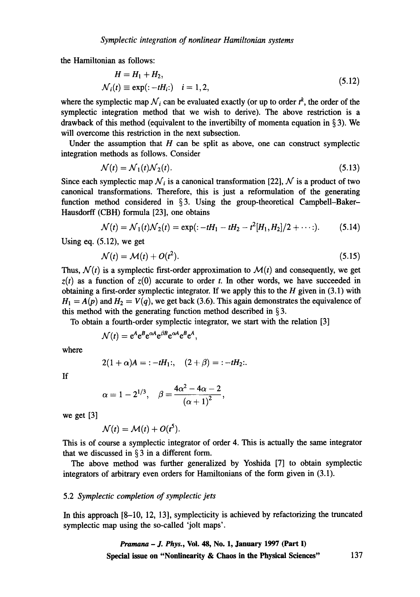the Hamiltonian as follows:

$$
H = H_1 + H_2,
$$
  
\n
$$
\mathcal{N}_i(t) \equiv \exp(-tH_i; \quad i = 1, 2,
$$
\n(5.12)

where the symplectic map  $\mathcal{N}_i$  can be evaluated exactly (or up to order  $t^k$ , the order of the symplectic integration method that we wish to derive). The above restriction is a drawback of this method (equivalent to the invertibility of momenta equation in  $\S 3$ ). We will overcome this restriction in the next subsection.

Under the assumption that  $H$  can be split as above, one can construct symplectic integration methods as follows. Consider

$$
\mathcal{N}(t) = \mathcal{N}_1(t)\mathcal{N}_2(t). \tag{5.13}
$$

Since each symplectic map  $\mathcal{N}_i$  is a canonical transformation [22],  $\mathcal{N}$  is a product of two canonical transformations. Therefore, this is just a reformulation of the generating function method considered in §3. Using the group-theoretical Campbell-Baker-Hausdorff (CBH) formula [23], one obtains

$$
\mathcal{N}(t) = \mathcal{N}_1(t)\mathcal{N}_2(t) = \exp(-tH_1 - tH_2 - t^2[H_1, H_2]/2 + \cdots).
$$
 (5.14)

Using eq. (5.12), we get

$$
\mathcal{N}(t) = \mathcal{M}(t) + O(t^2). \tag{5.15}
$$

Thus,  $\mathcal{N}(t)$  is a symplectic first-order approximation to  $\mathcal{M}(t)$  and consequently, we get  $z(t)$  as a function of  $z(0)$  accurate to order t. In other words, we have succeeded in obtaining a first-order symplectic integrator. If we apply this to the  $H$  given in (3.1) with  $H_1 = A(p)$  and  $H_2 = V(q)$ , we get back (3.6). This again demonstrates the equivalence of this method with the generating function method described in § 3.

To obtain a fourth-order symplectic integrator, we start with the relation [3]

$$
\mathcal{N}(t) = e^A e^B e^{\alpha A} e^{\beta B} e^{\alpha A} e^B e^A,
$$

where

$$
2(1+\alpha)A = -tH_1; (2+\beta) = -tH_2.
$$

If

$$
\alpha=1-2^{1/3},\quad \beta=\frac{4\alpha^2-4\alpha-2}{\left(\alpha+1\right)^2},
$$

we get [3]

$$
\mathcal{N}(t) = \mathcal{M}(t) + O(t^5).
$$

This is of course a symplectic integrator of order 4. This is actually the same integrator that we discussed in  $\S 3$  in a different form.

The above method was further generalized by Yoshida [7] to obtain symplectic integrators of arbitrary even orders for Hamiltonians of the form given in (3.1).

## *5.2 Symplectic completion of symplectic jets*

In this approach [8-10, 12, 13], symplecticity is achieved by refactorizing the truncated symplectic map using the so-called 'jolt maps'.

> *Pramana - J. Phys.,* **Voi. 48, No. 1, January 1997 (Part I)**  Special issue on "Nonlinearity & Chaos in the Physical Sciences" 137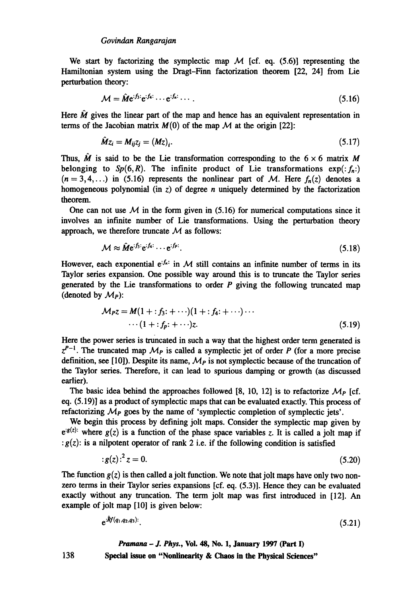We start by factorizing the symplectic map  $M$  [cf. eq. (5.6)] representing the Hamiltonian system using the Dragt-Finn factorization theorem [22, 24] from Lie perturbation theory:

$$
\mathcal{M} = \hat{\mathbf{M}} e^{i f_3} e^{i f_4 \cdots} e^{i f_n \cdots} \tag{5.16}
$$

Here  $\hat{M}$  gives the linear part of the map and hence has an equivalent representation in terms of the Jacobian matrix  $M(0)$  of the map  $M$  at the origin [22]:

$$
\hat{M}z_i = M_{ij}z_j = (Mz)_i. \tag{5.17}
$$

Thus,  $\hat{M}$  is said to be the Lie transformation corresponding to the  $6 \times 6$  matrix M belonging to  $Sp(6, R)$ . The infinite product of Lie transformations  $exp(:,f_n))$  $(n = 3, 4, ...)$  in (5.16) represents the nonlinear part of M. Here  $f_n(z)$  denotes a homogeneous polynomial (in  $z$ ) of degree *n* uniquely determined by the factorization theorem.

One can not use  $M$  in the form given in (5.16) for numerical computations since it involves an infinite number of Lie transformations. Using the perturbation theory approach, we therefore truncate  $M$  as follows:

$$
\mathcal{M} \approx \hat{\mathbf{M}} e^{i f_3} e^{i f_4} \cdots e^{i f_p}.
$$
\n(5.18)

However, each exponential  $e^{i f_n}$  in M still contains an infinite number of terms in its Taylor series expansion. One possible way around this is to truncate the Taylor series generated by the Lie transformations to order  $P$  giving the following truncated map (denoted by  $\mathcal{M}_P$ ):

$$
M_{PZ} = M(1 + : f_3 : + \cdots)(1 + : f_4 : + \cdots) \cdots
$$
  
 
$$
\cdots (1 + : f_p : + \cdots)z.
$$
 (5.19)

Here the power series is truncated in such a way that the highest order term generated is  $z^{P-1}$ . The truncated map  $\mathcal{M}_P$  is called a symplectic jet of order P (for a more precise definition, see [10]). Despite its name,  $M<sub>P</sub>$  is not symplectic because of the truncation of the Taylor series. Therefore, it can lead to spurious damping or growth (as discussed earlier).

The basic idea behind the approaches followed [8, 10, 12] is to refactorize  $\mathcal{M}_P$  [cf. eq. (5.19)] as a product of symplectic maps that can be evaluated exactly. This process of refactorizing  $M_P$  goes by the name of 'symplectic completion of symplectic jets'.

We begin this process by defining jolt maps. Consider the symplectic map given by  $e^{i\xi(z)}$ : where  $g(z)$  is a function of the phase space variables z. It is called a jolt map if :  $g(z)$ : is a nilpotent operator of rank 2 i.e. if the following condition is satisfied

$$
g(z)^2 z = 0. \tag{5.20}
$$

The function  $g(z)$  is then called a jolt function. We note that jolt maps have only two nonzero terms in their Taylor series expansions [cf. eq. (5.3)]. Hence they can be evaluated exactly without any truncation. The term jolt map was first introduced in [12]. An example of jolt map [10] is given below:

$$
e^{iRf(q_1,q_2,q_3)}.\t(5.21)
$$

#### *Pramana - J. Phys.,* **Vol. 48, No. 1, January 1997 (Part I)**

**Special issue on "Nonlinearity & Chaos in the Physical Sciences"** 

138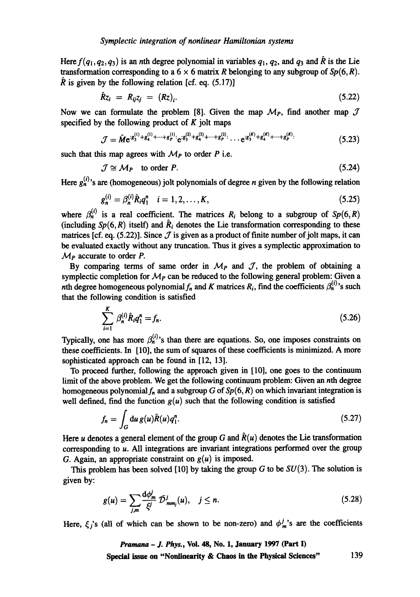Here  $f(q_1,q_2,q_3)$  is an nth degree polynomial in variables  $q_1, q_2$ , and  $q_3$  and  $\hat{R}$  is the Lie transformation corresponding to a  $6 \times 6$  matrix R belonging to any subgroup of  $Sp(6, R)$ .  $\hat{R}$  is given by the following relation [cf. eq. (5.17)]

$$
\hat{R}z_i = R_{ij}z_j = (Rz)_i. \tag{5.22}
$$

Now we can formulate the problem [8]. Given the map  $\mathcal{M}_P$ , find another map  $\mathcal J$ specified by the following product of  $K$  jolt maps

$$
\mathcal{J} = \hat{M} e^{i8_3^{(1)} + g_4^{(1)} + \dots + g_p^{(1)} :} e^{i8_3^{(2)} + g_4^{(2)} + \dots + g_p^{(2)} :} \dots e^{i8_3^{(K)} + g_4^{(K)} + \dots + g_p^{(K)} :}
$$
(5.23)

such that this map agrees with  $M_p$  to order P i.e.

$$
\mathcal{J} \cong \mathcal{M}_P \quad \text{to order } P. \tag{5.24}
$$

Here  $g_n^{(i)}$ 's are (homogeneous) jolt polynomials of degree *n* given by the following relation

$$
g_n^{(i)} = \beta_n^{(i)} \hat{R}_i q_1^n \quad i = 1, 2, \dots, K,
$$
\n(5.25)

where  $\beta_n^{(i)}$  is a real coefficient. The matrices  $R_i$  belong to a subgroup of  $Sp(6, R)$ (including  $Sp(6, R)$  itself) and  $\hat{R}_i$  denotes the Lie transformation corresponding to these matrices [cf. eq. (5.22)]. Since  $\mathcal J$  is given as a product of finite number of jolt maps, it can be evaluated exactly without any truncation. Thus it gives a symplectic approximation to  $M_P$  accurate to order P.

By comparing terms of same order in  $M<sub>P</sub>$  and  $J$ , the problem of obtaining a symplectic completion for  $M<sub>P</sub>$  can be reduced to the following general problem: Given a nth degree homogeneous polynomial  $f_n$  and K matrices  $R_i$ , find the coefficients  $\beta_n^{(i)}$ 's such that the following condition is satisfied

$$
\sum_{i=1}^{K} \beta_n^{(i)} \hat{R}_i q_1^n = f_n. \tag{5.26}
$$

Typically, one has more  $\beta_n^{(i)}$ 's than there are equations. So, one imposes constraints on these coefficients. In [10], the sum of squares of these coefficients is minimized. A more sophisticated approach can be found in [12, 13].

To proceed further, following the approach given in [10], one goes to the continuum limit of the above problem. We get the following continuum problem: Given an nth degree homogeneous polynomial  $f_n$  and a subgroup G of  $Sp(6, R)$  on which invariant integration is well defined, find the function  $g(u)$  such that the following condition is satisfied

$$
f_n = \int_G du \, g(u) \hat{R}(u) q_1^n. \tag{5.27}
$$

Here *u* denotes a general element of the group G and  $\hat{R}(u)$  denotes the Lie transformation corresponding to u. All integrations are invariant integrations performed over the group G. Again, an appropriate constraint on  $g(u)$  is imposed.

This problem has been solved [10] by taking the group  $G$  to be  $SU(3)$ . The solution is given by:

$$
g(u) = \sum_{j,m} \frac{\mathrm{d}\phi_m^j}{\xi^j} \bar{\mathcal{D}}_{mm_j}^j(u), \quad j \leq n. \tag{5.28}
$$

Here,  $\xi_i$ 's (all of which can be shown to be non-zero) and  $\phi_m^j$ 's are the coefficients

## *Pramana - J. Phys.,* Vol. 48, No. 1, January 1997 (Part I) Special issue on "Nonlinearity & Chaos in the Physical Sciences" 139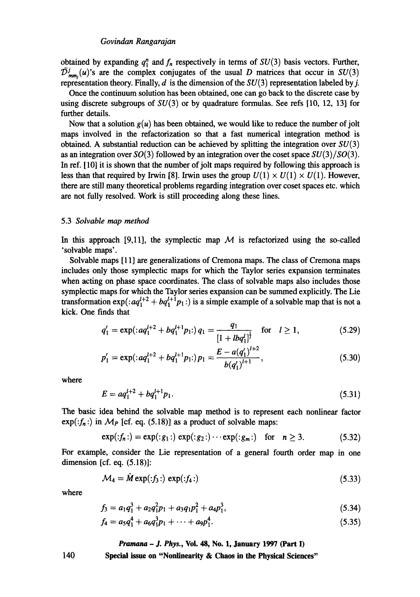#### *Govindan Rangarajan*

obtained by expanding  $q_1^n$  and  $f_n$  respectively in terms of  $SU(3)$  basis vectors. Further,  $\bar{\mathcal{D}}_{mm}^{j}(u)$ 's are the complex conjugates of the usual D matrices that occur in  $SU(3)$ representation theory. Finally,  $d$  is the dimension of the  $SU(3)$  representation labeled by j.

Once the continuum solution has been obtained, one can go back to the discrete case by using discrete subgroups of  $SU(3)$  or by quadrature formulas. See refs [10, 12, 13] for further details.

Now that a solution  $g(u)$  has been obtained, we would like to reduce the number of jolt maps involved in the refactorization so that a fast numerical integration method is obtained. A substantial reduction can be achieved by splitting the integration over  $SU(3)$ as an integration over SO(3) followed by an integration over the coset space *SU(3)/S0(3).*  In ref. [10] it is shown that the number of jolt maps required by following this approach is less than that required by Irwin [8]. Irwin uses the group  $U(1) \times U(1) \times U(1)$ . However, there are still many theoretical problems regarding integration over coset spaces etc. which are not fully resolved. Work is still proceeding along these lines.

#### 5.3 *Solvable map method*

In this approach [9,11], the symplectic map  $M$  is refactorized using the so-called 'solvable maps'.

Solvable maps [11] are generalizations of Cremona maps. The class of Cremona maps includes only those symplectic maps for which the Taylor series expansion terminates when acting on phase space coordinates. The class of solvable maps also includes those symplectic maps for which the Taylor series expansion can be summed explicitly. The Lie transformation  $exp(.aq_1^{l+2} + bq_1^{l+1}p_1:)$  is a simple example of a solvable map that is not a kick. One finds that

$$
q_1' = \exp( :aq_1^{l+2} + bq_1^{l+1}p_1!) q_1 = \frac{q_1}{[1 + l bq_1']^{\frac{1}{l}}}
$$
 for  $l \ge 1$ , (5.29)

$$
p'_1 = \exp( :aq_1^{l+2} + bq_1^{l+1}p_1!)p_1 = \frac{E - a(q'_1)^{l+2}}{b(q'_1)^{l+1}},
$$
\n(5.30)

where

$$
E = aq_1^{l+2} + bq_1^{l+1}p_1.
$$
\n(5.31)

The basic idea behind the solvable map method is to represent each nonlinear factor  $exp(jf_n)$  in  $M_P$  [cf. eq. (5.18)] as a product of solvable maps:

$$
\exp(\cdot f_n \cdot) = \exp(\cdot g_1 \cdot) \exp(\cdot g_2 \cdot) \cdots \exp(\cdot g_m \cdot) \quad \text{for} \quad n \ge 3. \tag{5.32}
$$

For example, consider the Lie representation of a general fourth order map in one dimension [cf. eq. (5.18)]:

$$
\mathcal{M}_4 = \tilde{M} \exp(\mathbf{f}_3 \cdot) \exp(\mathbf{f}_4 \cdot) \tag{5.33}
$$

where

$$
f_3 = a_1 q_1^3 + a_2 q_1^2 p_1 + a_3 q_1 p_1^2 + a_4 p_1^3, \tag{5.34}
$$

$$
f_4 = a_5 q_1^4 + a_6 q_1^3 p_1 + \dots + a_9 p_1^4. \tag{5.35}
$$

#### *Pramana - J. Phys.,* **Vol. 48, No. 1, January 1997 (Part I)**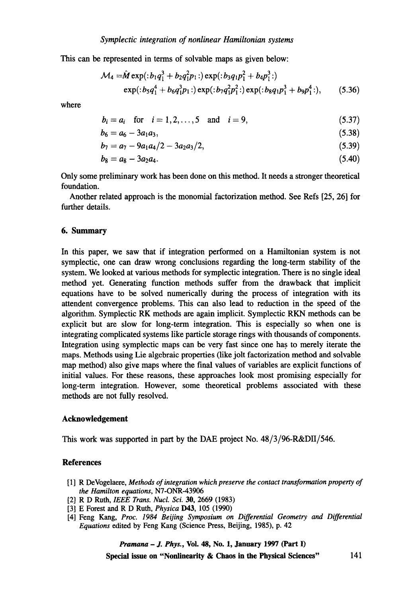This can be represented in terms of solvable maps as given below:

$$
\mathcal{M}_4 = \hat{M} \exp(\frac{b_1 q_1^3 + b_2 q_1^2 p_1)}{p_1 p_2 q_1^2 + b_3 q_1^2 p_1^2}
$$
  
 
$$
\exp(\frac{b_5 q_1^4 + b_6 q_1^3 p_1)}{p_1 p_2 p_1^2 + b_5 p_1^2 p_1^2}
$$
  
 
$$
\exp(\frac{b_5 q_1^4 + b_6 q_1^3 p_1)}{p_1 p_2 p_1^2}
$$
  
 
$$
\exp(\frac{b_5 q_1^4 + b_6 q_1^2 p_1)}{p_1 p_2 p_2^2}
$$
  
 
$$
\exp(\frac{b_5 q_1^4 + b_6 q_1^2 p_1)}{p_1 p_2 p_2^2}
$$
  
 
$$
\exp(\frac{b_5 q_1^2 p_1^2 + b_6 q_1^2 p_1^2)}{p_1 p_2 p_2^2}
$$
  
 (5.36)

where

$$
b_i = a_i
$$
 for  $i = 1, 2, ..., 5$  and  $i = 9$ , (5.37)

$$
b_6 = a_6 - 3a_1a_3,\tag{5.38}
$$

$$
b_7 = a_7 - 9a_1a_4/2 - 3a_2a_3/2, \hspace{1.5cm} (5.39)
$$

$$
b_8 = a_8 - 3a_2a_4. \tag{5.40}
$$

Only some preliminary work has been done on this method. It needs a stronger theoretical foundation.

Another related approach is the monomial factorization method. See Refs [25, 26] for further details.

#### 6. Summary

In this paper, we saw that if integration performed on a Hamiltonian system is not symplectic, one can draw wrong conclusions regarding the long-term stability of the system. We looked at various methods for symplectic integration. There is no single ideal method yet. Generating function methods suffer from the drawback that implicit equations have to be solved numerically during the process of integration with its attendent convergence problems. This can also lead to reduction in the speed of the algorithm. Symplectic RK methods are again implicit. Symplectic RKN methods can be explicit but are slow for long-term integration. This is especially so when one is integrating complicated systems like particle storage rings with thousands of components. Integration using symplectic maps can be very fast since one has to merely iterate the maps. Methods using Lie algebraic properties (like jolt factorization method and solvable map method) also give maps where the final values of variables are explicit functions of initial values. For these reasons, these approaches look most promising especially for long-term integration. However, some theoretical problems associated with these methods are not fully resolved.

## **Acknowledgement**

This work was supported in part by the DAE project No. 48/3/96-R&DH/546.

## **References**

- [1 ] R DeVogelaere, *Methods of integration which preserve the contact transformation property of the Hamilton equations,* N7-ONR-43906
- [2] R D Ruth, *IEEE Trans. Nucl. Sci.* 30, 2669 (1983)
- [3] E Forest and R D Ruth, *Physica* **D43**, 105 (1990)
- [4] Feng Kang, *Proc. 1984 Beijing Symposium on Differential Geometry and Differential Equations* edited by Feng Kang (Science Press, Beijing, 1985), p. 42

*Pramana - J. Phys.,* Vol. 48, No. 1, January 1997 (Part I)